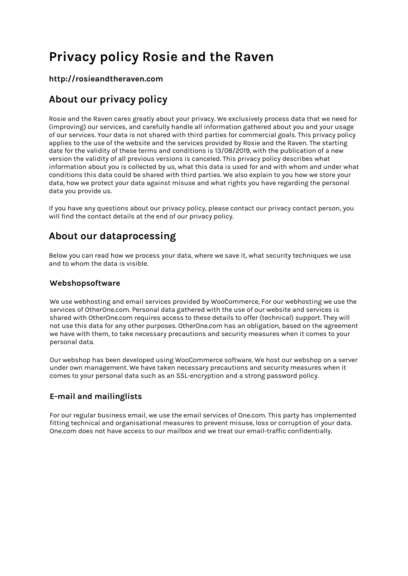# **Privacy policy Rosie and the Raven**

#### **http://rosieandtheraven.com**

### **About our privacy policy**

Rosie and the Raven cares greatly about your privacy. We exclusively process data that we need for (improving) our services, and carefully handle all information gathered about you and your usage of our services. Your data is not shared with third parties for commercial goals. This privacy policy applies to the use of the website and the services provided by Rosie and the Raven. The starting date for the validity of these terms and conditions is 13/08/2019, with the publication of a new version the validity of all previous versions is canceled. This privacy policy describes what information about you is collected by us, what this data is used for and with whom and under what conditions this data could be shared with third parties. We also explain to you how we store your data, how we protect your data against misuse and what rights you have regarding the personal data you provide us.

If you have any questions about our privacy policy, please contact our privacy contact person, you will find the contact details at the end of our privacy policy.

### **About our dataprocessing**

Below you can read how we process your data, where we save it, what security techniques we use and to whom the data is visible.

#### **Webshopsoftware**

We use webhosting and email services provided by WooCommerce, For our webhosting we use the services of OtherOne.com. Personal data gathered with the use of our website and services is shared with OtherOne.com requires access to these details to offer (technical) support. They will not use this data for any other purposes. OtherOne.com has an obligation, based on the agreement we have with them, to take necessary precautions and security measures when it comes to your personal data.

Our webshop has been developed using WooCommerce software, We host our webshop on a server under own management. We have taken necessary precautions and security measures when it comes to your personal data such as an SSL-encryption and a strong password policy.

#### **E-mail and mailinglists**

For our regular business email, we use the email services of One.com. This party has implemented fitting technical and organisational measures to prevent misuse, loss or corruption of your data. One.com does not have access to our mailbox and we treat our email-traffic confidentially.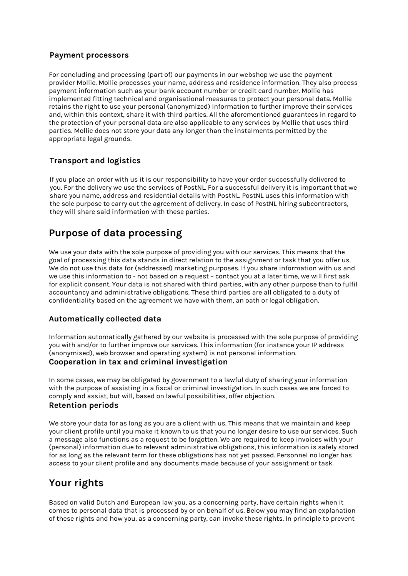#### **Payment processors**

For concluding and processing (part of) our payments in our webshop we use the payment provider Mollie. Mollie processes your name, address and residence information. They also process payment information such as your bank account number or credit card number. Mollie has implemented fitting technical and organisational measures to protect your personal data. Mollie retains the right to use your personal (anonymized) information to further improve their services and, within this context, share it with third parties. All the aforementioned guarantees in regard to the protection of your personal data are also applicable to any services by Mollie that uses third parties. Mollie does not store your data any longer than the instalments permitted by the appropriate legal grounds.

#### **Transport and logistics**

If you place an order with us it is our responsibility to have your order successfully delivered to you. For the delivery we use the services of PostNL. For a successful delivery it is important that we share you name, address and residential details with PostNL. PostNL uses this information with the sole purpose to carry out the agreement of delivery. In case of PostNL hiring subcontractors, they will share said information with these parties.

### **Purpose of data processing**

We use your data with the sole purpose of providing you with our services. This means that the goal of processing this data stands in direct relation to the assignment or task that you offer us. We do not use this data for (addressed) marketing purposes. If you share information with us and we use this information to - not based on a request – contact you at a later time, we will first ask for explicit consent. Your data is not shared with third parties, with any other purpose than to fulfil accountancy and administrative obligations. These third parties are all obligated to a duty of confidentiality based on the agreement we have with them, an oath or legal obligation.

#### **Automatically collected data**

Information automatically gathered by our website is processed with the sole purpose of providing you with and/or to further improve our services. This information (for instance your IP address (anonymised), web browser and operating system) is not personal information. **Cooperation in tax and criminal investigation** 

In some cases, we may be obligated by government to a lawful duty of sharing your information with the purpose of assisting in a fiscal or criminal investigation. In such cases we are forced to comply and assist, but will, based on lawful possibilities, offer objection.

#### **Retention periods**

We store your data for as long as you are a client with us. This means that we maintain and keep your client profile until you make it known to us that you no longer desire to use our services. Such a message also functions as a request to be forgotten. We are required to keep invoices with your (personal) information due to relevant administrative obligations, this information is safely stored for as long as the relevant term for these obligations has not yet passed. Personnel no longer has access to your client profile and any documents made because of your assignment or task.

### **Your rights**

Based on valid Dutch and European law you, as a concerning party, have certain rights when it comes to personal data that is processed by or on behalf of us. Below you may find an explanation of these rights and how you, as a concerning party, can invoke these rights. In principle to prevent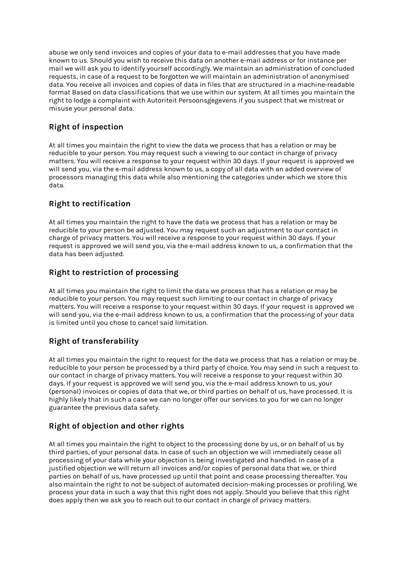abuse we only send invoices and copies of your data to e-mail addresses that you have made known to us. Should you wish to receive this data on another e-mail address or for instance per mail we will ask you to identify yourself accordingly. We maintain an administration of concluded requests, in case of a request to be forgotten we will maintain an administration of anonymised data. You receive all invoices and copies of data in files that are structured in a machine-readable format Based on data classifications that we use within our system. At all times you maintain the right to lodge a complaint with Autoriteit Persoonsgegevens if you suspect that we mistreat or misuse your personal data.

#### **Right of inspection**

At all times you maintain the right to view the data we process that has a relation or may be reducible to your person. You may request such a viewing to our contact in charge of privacy matters. You will receive a response to your request within 30 days. If your request is approved we will send you, via the e-mail address known to us, a copy of all data with an added overview of processors managing this data while also mentioning the categories under which we store this data.

#### **Right to rectification**

At all times you maintain the right to have the data we process that has a relation or may be reducible to your person be adjusted. You may request such an adjustment to our contact in charge of privacy matters. You will receive a response to your request within 30 days. If your request is approved we will send you, via the e-mail address known to us, a confirmation that the data has been adjusted.

#### **Right to restriction of processing**

At all times you maintain the right to limit the data we process that has a relation or may be reducible to your person. You may request such limiting to our contact in charge of privacy matters. You will receive a response to your request within 30 days. If your request is approved we will send you, via the e-mail address known to us, a confirmation that the processing of your data is limited until you chose to cancel said limitation.

#### **Right of transferability**

At all times you maintain the right to request for the data we process that has a relation or may be reducible to your person be processed by a third party of choice. You may send in such a request to our contact in charge of privacy matters. You will receive a response to your request within 30 days. If your request is approved we will send you, via the e-mail address known to us, your (personal) invoices or copies of data that we, or third parties on behalf of us, have processed. It is highly likely that in such a case we can no longer offer our services to you for we can no longer guarantee the previous data safety.

#### **Right of objection and other rights**

At all times you maintain the right to object to the processing done by us, or on behalf of us by third parties, of your personal data. In case of such an objection we will immediately cease all processing of your data while your objection is being investigated and handled. In case of a justified objection we will return all invoices and/or copies of personal data that we, or third parties on behalf of us, have processed up until that point and cease processing thereafter. You also maintain the right to not be subject of automated decision-making processes or profiling. We process your data in such a way that this right does not apply. Should you believe that this right does apply then we ask you to reach out to our contact in charge of privacy matters.